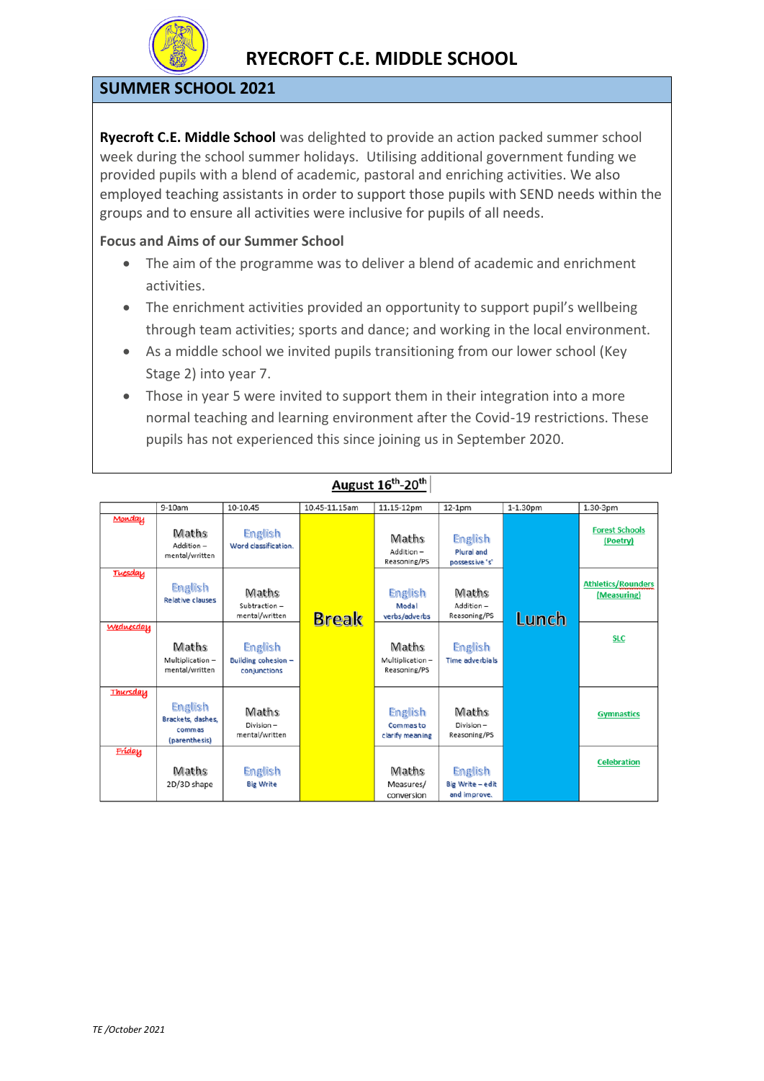

### **SUMMER SCHOOL 2021**

**Ryecroft C.E. Middle School** was delighted to provide an action packed summer school week during the school summer holidays. Utilising additional government funding we provided pupils with a blend of academic, pastoral and enriching activities. We also employed teaching assistants in order to support those pupils with SEND needs within the groups and to ensure all activities were inclusive for pupils of all needs.

#### **Focus and Aims of our Summer School**

- The aim of the programme was to deliver a blend of academic and enrichment activities.
- The enrichment activities provided an opportunity to support pupil's wellbeing through team activities; sports and dance; and working in the local environment.
- As a middle school we invited pupils transitioning from our lower school (Key Stage 2) into year 7.
- Those in year 5 were invited to support them in their integration into a more normal teaching and learning environment after the Covid-19 restrictions. These pupils has not experienced this since joining us in September 2020.

|           | 9-10am                                                  | 10-10.45                                       | 10.45-11.15am | 11.15-12pm                                    | $12-1pm$                                  | 1-1.30pm | 1.30-3pm                                 |
|-----------|---------------------------------------------------------|------------------------------------------------|---------------|-----------------------------------------------|-------------------------------------------|----------|------------------------------------------|
|           |                                                         |                                                |               |                                               |                                           |          |                                          |
| Monday    | Maths<br>Addition-<br>mental/written                    | English<br>Word classification.                |               | Maths<br>Addition-<br>Reasoning/PS            | English<br>Plural and<br>possessive 's'   |          | <b>Forest Schools</b><br>(Poetry)        |
| Tuesday   | English<br><b>Relative clauses</b>                      | Maths<br>Subtraction-<br>mental/written        | <b>Break</b>  | English<br>Modal<br>verbs/adverbs             | Maths<br>Addition-<br>Reasoning/PS        | Lunch    | <b>Athletics/Rounders</b><br>(Measuring) |
| Wednesday | Maths<br>Multiplication-<br>mental/written              | English<br>Building cohesion -<br>conjunctions |               | Maths<br>Multiplication-<br>Reasoning/PS      | English<br>Time adverbials                |          | <b>SLC</b>                               |
| Thursday  | English<br>Brackets, dashes,<br>commas<br>(parenthesis) | Maths<br>Division-<br>mental/written           |               | English<br><b>Commasto</b><br>clarify meaning | Maths<br>Division-<br>Reasoning/PS        |          | <b>Gymnastics</b>                        |
| Fríday    | Maths<br>2D/3D shape                                    | English<br><b>Big Write</b>                    |               | Maths<br>Measures/<br>conversion              | English<br>Big Write-edit<br>and improve. |          | <b>Celebration</b>                       |

#### August 16<sup>th</sup>-20<sup>th</sup>